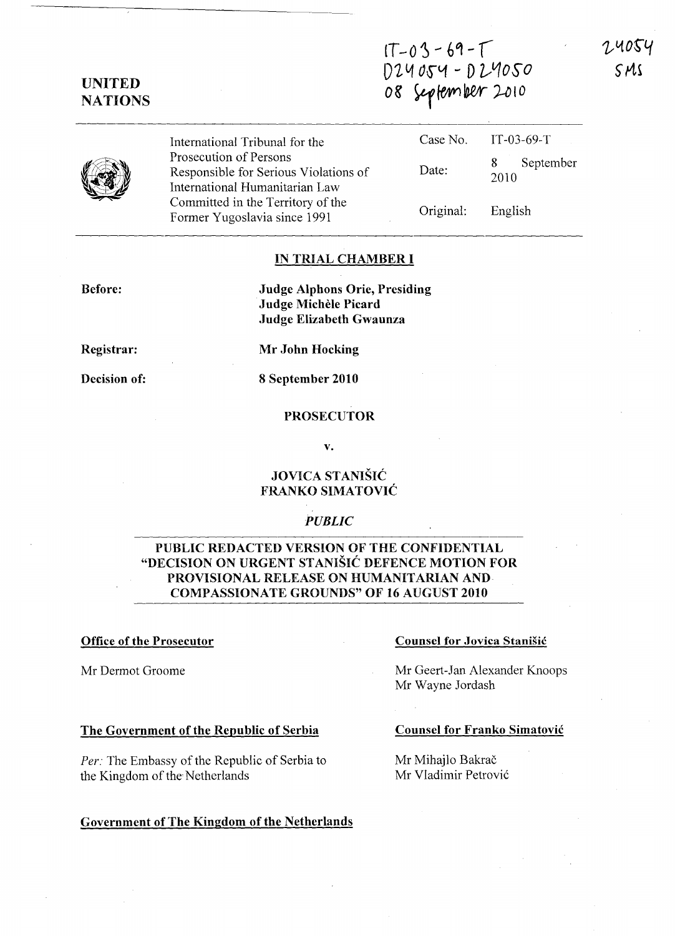$IT - 03 - 69 - T$ <sup>D</sup>'211 0\$"<1 - D 1)10so

UNITED **NATIONS** 

08 September 2010

International Tribunal for the Prosecution of Persons Responsible for Serious Violations International Humanitarian L Committed in the Territory of

| International Tribunal for the                                    |                   | Case No. IT-03-69-T    |
|-------------------------------------------------------------------|-------------------|------------------------|
| Prosecution of Persons<br>Responsible for Serious Violations of   | Date:             | September<br>8<br>2010 |
| International Humanitarian Law                                    |                   |                        |
| Committed in the Territory of the<br>Former Yugoslavia since 1991 | Original: English |                        |

#### IN TRIAL CHAMBER **I**

Before:

Judge Alphons Orie, Presiding Judge Michele Picard Judge Elizabeth Gwaunza

Registrar:

Mr John Hocking

Decision of: 8 September 2010

### PROSECUTOR

v.

# JOVICA STANISIC FRANKO SIMATOVIC

# *PUBLIC*

# PUBLIC REDACTED VERSION OF THE CONFIDENTIAL "DECISION ON URGENT STANISIC DEFENCE MOTION FOR PROVISIONAL RELEASE ON HUMANITARIAN AND COMPASSIONATE GROUNDS" OF 16 AUGUST 2010

# Office of the Prosecutor

Mr Dermot Groome

### The Government of the Republic of Serbia

*Per:* The Embassy of the Republic of Serbia to the Kingdom of the Netherlands

#### Government of The Kingdom of the Netherlands

#### Counsel for Jovica Stanisic

Mr Geert-Jan Alexander Knoops Mr Wayne Jordash

#### Counsel for Franko Simatovic

Mr Mihajlo Bakrač Mr Vladimir Petrović SMS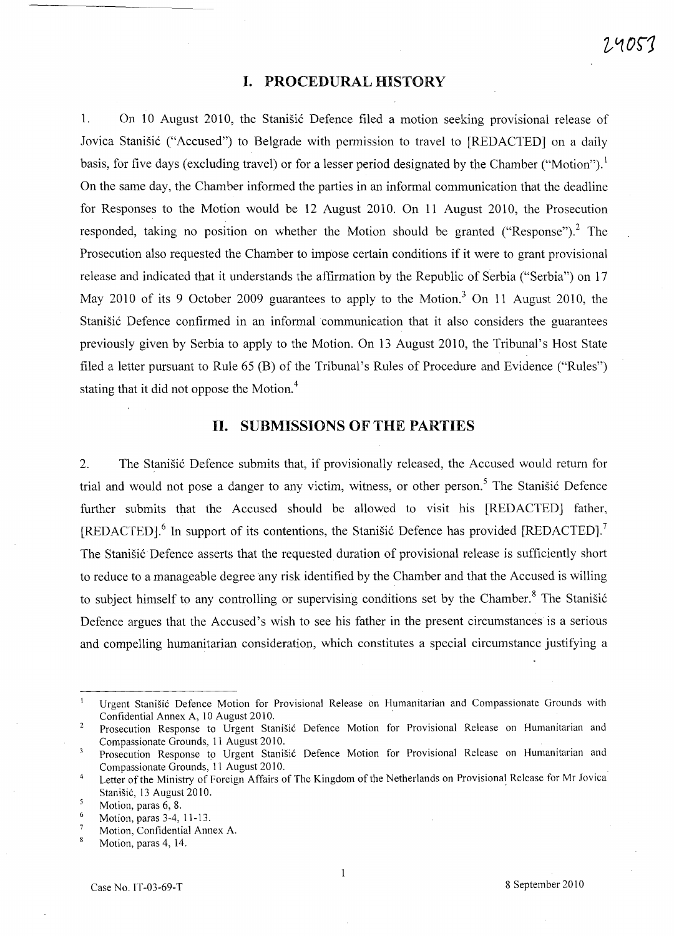# **I. PROCEDURAL HISTORY**

1. On 10 August 2010, the Stanisic Defence filed a motion seeking provisional release of Jovica Stanišić ("Accused") to Belgrade with permission to travel to [REDACTED] on a daily basis, for five days (excluding travel) or for a lesser period designated by the Chamber ("Motion").<sup>1</sup> On the same day, the Chamber informed the parties in an informal communication that the deadline for Responses to the Motion would be 12 August 2010. On 11 August 2010, the Prosecution responded, taking no position on whether the Motion should be granted ("Response").<sup>2</sup> The Prosecution also requested the Chamber to impose certain conditions if it were to grant provisional release and indicated that it understands the affirmation by the Republic of Serbia ("Serbia") on 17 May 2010 of its 9 October 2009 guarantees to apply to the Motion.<sup>3</sup> On 11 August 2010, the Stanišić Defence confirmed in an informal communication that it also considers the guarantees previously given by Serbia to apply to the Motion. On 13 August 2010, the Tribunal's Host State filed a letter pursuant to Rule 65 (B) of the Tribunal's Rules of Procedure and Evidence ("Rules") stating that it did not oppose the Motion. <sup>4</sup>

### **11. SUBMISSIONS OF THE PARTIES**

2. The Stanišić Defence submits that, if provisionally released, the Accused would return for trial and would not pose a danger to any victim, witness, or other person.<sup>5</sup> The Stanišić Defence further submits that the Accused should be allowed to visit his [REDACTED] father,  $[REDACTED]$ <sup>6</sup>. In support of its contentions, the Stanisic Defence has provided  $[REDACTED]$ <sup>7</sup> The Stanišić Defence asserts that the requested duration of provisional release is sufficiently short to reduce to a manageable degree any risk identified by the Chamber and that the Accused is willing to subject himself to any controlling or supervising conditions set by the Chamber.<sup>8</sup> The Stanišić Defence argues that the Accused's wish to see his father in the present circumstances is a serious and compelling humanitarian consideration, which constitutes a special circumstance justifying a

Urgent Stanisic Defence Motion for Provisional Release on Humanitarian and Compassionate Grounds with Confidential Annex A, 10 August 2010.

 $\overline{2}$ Prosecution Response to Urgent Stanisic Defence Motion for Provisional Release on Humanitarian and Compassionate Grounds, 11 August 2010.

Prosecution Response to Urgent Stanisic Defence Motion for Provisional Release on Humanitarian and  $\overline{3}$ Compassionate Grounds, 11 August 2010.

<sup>4</sup>  Letter of the Ministry of Foreign Affairs of The Kingdom of the Netherlands on Provisional Release for Mr Jovica Stanisic, 13 August 2010.

 $\overline{\mathbf{5}}$ Motion, paras 6, 8.

<sup>6</sup>  Motion, paras 3-4, 11-13.

 $\overline{7}$ Motion, Confidential Annex A.

 $\overline{\mathbf{8}}$ Motion, paras 4, 14.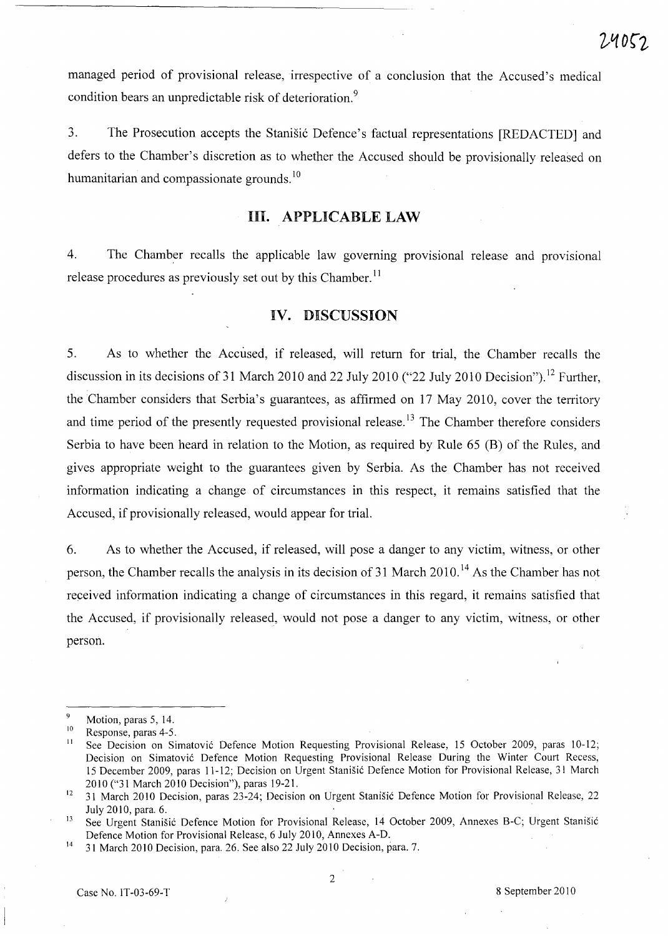managed period of provisional release, irrespective of a conclusion that the Accused's medical condition bears an unpredictable risk of deterioration.<sup>9</sup>

3. The Prosecution accepts the Stanisić Defence's factual representations [REDACTED] and defers to the Chamber's discretion as to whether the Accused should be provisionally released on humanitarian and compassionate grounds.<sup>10</sup>

# **HI. APPLICABLE LAW**

4. The Chamber recalls the applicable law governing provisional release and provisional release procedures as previously set out by this Chamber.<sup>11</sup>

# **IV. DISCUSSION**

5. As to whether the Accused, if released, will return for trial, the Chamber recalls the discussion in its decisions of 31 March 2010 and 22 July 2010 ("22 July 2010 Decision").<sup>12</sup> Further, the Chamber considers that Serbia's guarantees, as affirmed on 17 May 2010, cover the territory and time period of the presently requested provisional release.<sup>13</sup> The Chamber therefore considers Serbia to have been heard in relation to the Motion, as required by Rule 65 (B) of the Rules, and gives appropriate weight to the guarantees given by Serbia. As the Chamber has not received information indicating a change of circumstances in this respect, it remains satisfied that the Accused, if provisionally released, would appear for trial.

6. As to whether the Accused, if released, will pose a danger to any victim, witness, or other person, the Chamber recalls the analysis in its decision of 31 March 2010.<sup>14</sup> As the Chamber has not received information indicating a change of circumstances in this regard, it remains satisfied that the Accused, if provisionally released, would not pose a danger to any victim, witness, or other person.

2

Motion, paras 5, 14.

 $^{10}$  Response, paras 4-5.

See Decision on Simatović Defence Motion Requesting Provisional Release, 15 October 2009, paras 10-12; Decision on Simatovi6 Defence Motion Requesting Provisional Release During the Winter Court Recess, 15 December 2009, paras 11-12; Decision on Urgent Stanisi6 Defence Motion for Provisional Release, 31 March 2010 ("31 March 2010 Decision"), paras 19-21.

<sup>&</sup>lt;sup>12</sup> 31 March 2010 Decision, paras 23-24; Decision on Urgent Stanišić Defence Motion for Provisional Release, 22 July 2010, para. 6.

<sup>&</sup>lt;sup>13</sup> See Urgent Stanišić Defence Motion for Provisional Release, 14 October 2009, Annexes B-C; Urgent Stanišić Defence Motion for Provisional Release, 6 July 2010, Annexes A-D.

<sup>14 31</sup> March 20lO Decision, para. 26. See also 22 July 2010 Decision, para. 7.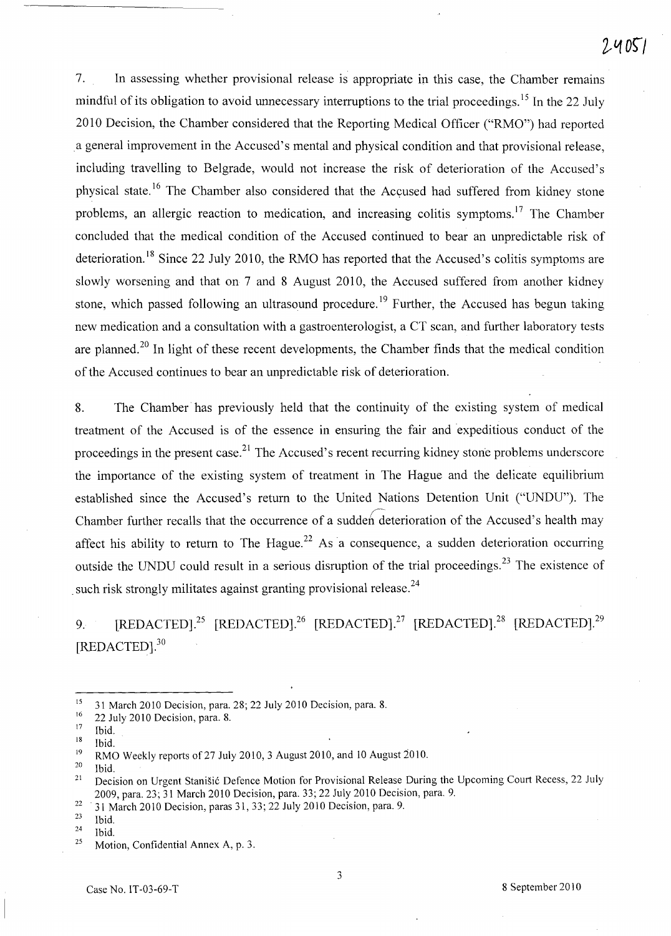7. In assessing whether provisional release is appropriate in this case, the Chamber remains mindful of its obligation to avoid unnecessary interruptions to the trial proceedings.<sup>15</sup> In the 22 July 2010 Decision, the Chamber considered that the Reporting Medical Officer ("RMO") had reported a general improvement in the Accused's mental and physical condition and that provisional release, including travelling to Belgrade, would not increase the risk of deterioration of the Accused's physical state.<sup>16</sup> The Chamber also considered that the Accused had suffered from kidney stone problems, an allergic reaction to medication, and increasing colitis symptoms. 17 The Chamber concluded that the medical condition of the Accused continued to bear an unpredictable risk of deterioration.<sup>18</sup> Since 22 July 2010, the RMO has reported that the Accused's colitis symptoms are slowly worsening and that on 7 and 8 August 2010, the Accused suffered from another kidney stone, which passed following an ultrasound procedure.<sup>19</sup> Further, the Accused has begun taking new medication and a consultation with a gastroenterologist, a CT scan, and further laboratory tests are planned.<sup>20</sup> In light of these recent developments, the Chamber finds that the medical condition of the Accused continues to bear an unpredictable risk of deterioration.

8. The Chamber has previously held that the continuity of the existing system of medical treatment of the Accused is of the essence in ensuring the fair and expeditious conduct of the proceedings in the present case.<sup>21</sup> The Accused's recent recurring kidney stone problems underscore the importance of the existing system of treatment in The Hague and the delicate equilibrium established since the Accused's return to the United Nations Detention Unit ("UNDU"). The Chamber further recalls that the occurrence of a sudden deterioration of the Accused's health may affect his ability to return to The Hague.<sup>22</sup> As a consequence, a sudden deterioration occurring outside the UNDU could result in a serious disruption of the trial proceedings.<sup>23</sup> The existence of such risk strongly militates against granting provisional release.<sup>24</sup>

9. [REDACTED].<sup>25</sup> [REDACTED].<sup>26</sup> [REDACTED].<sup>27</sup> [REDACTED].<sup>28</sup> [REDACTED].<sup>29</sup> [REDACTED].<sup>30</sup>

<sup>22</sup> 31 March 2010 Decision, paras 31, 33; 22 July 2010 Decision, para. 9.<br><sup>23</sup> Ibid

<sup>&</sup>lt;sup>15</sup> 31 March 2010 Decision, para. 28; 22 July 2010 Decision, para. 8.<br> $\frac{16}{22}$  July 2010 Decision, para. 8.

 $\frac{16}{17}$  22 July 2010 Decision, para. 8.

 $\frac{17}{18}$  Ibid.

 $\frac{18}{19}$  Ibid.

<sup>&</sup>lt;sup>19</sup> RMO Weekly reports of 27 July 2010, 3 August 2010, and 10 August 2010.

Ibid.

<sup>&</sup>lt;sup>21</sup> Decision on Urgent Stanišić Defence Motion for Provisional Release During the Upcoming Court Recess, 22 July 2009, para. 23; 31 March 2010 Decision, para. 33; 22 July 2010 Decision, para. 9.

 $\frac{23}{24}$  Ibid.

 $\frac{24}{25}$  Ibid.

Motion, Confidential Annex A, p. 3.